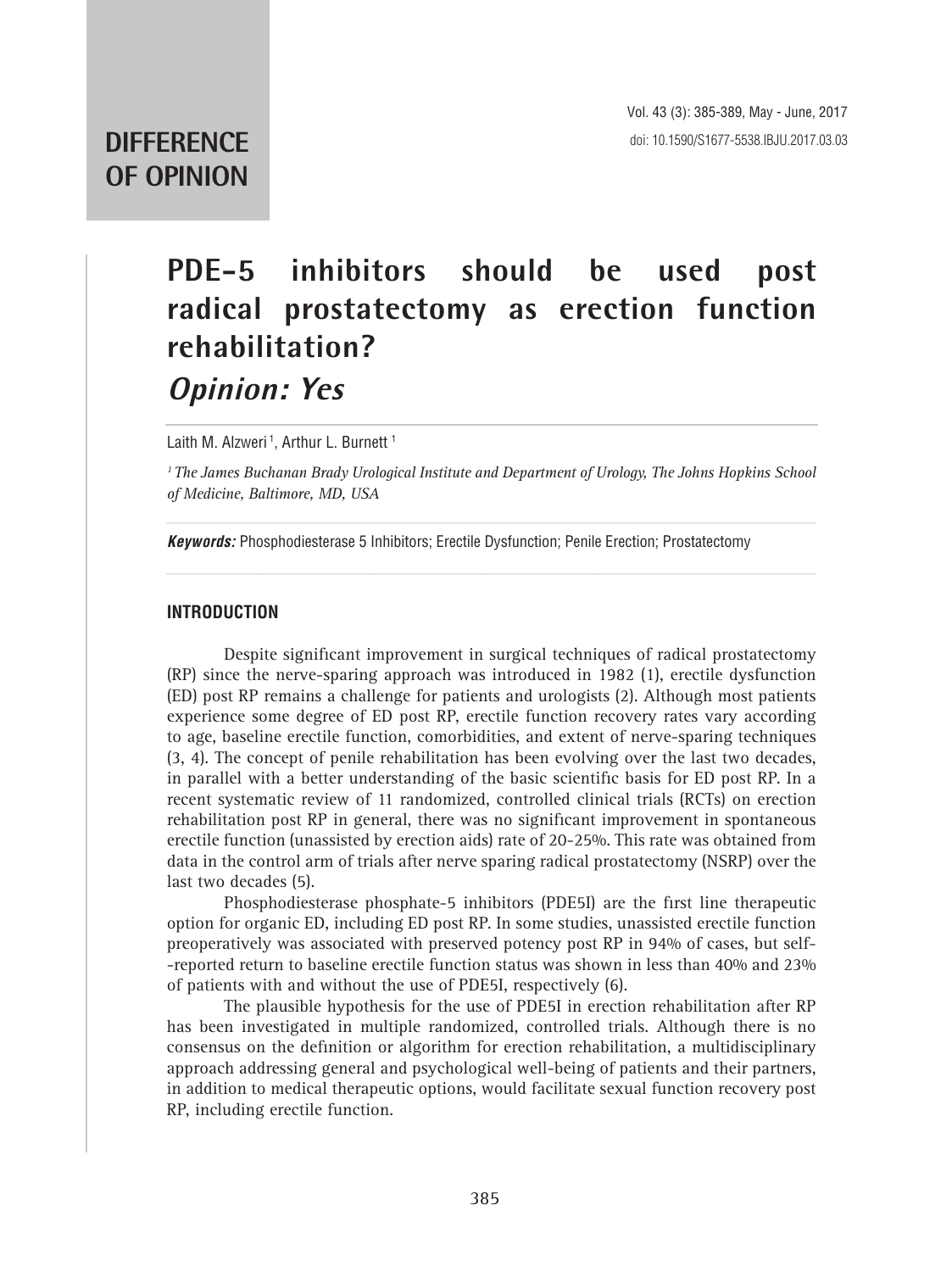# **Difference of opinion**

# **PDE-5 inhibitors should be used post radical prostatectomy as erection function rehabilitation? Opinion: Yes**

Laith M. Alzweri<sup>1</sup>. Arthur L. Burnett<sup>1</sup>

*1 The James Buchanan Brady Urological Institute and Department of Urology, The Johns Hopkins School of Medicine, Baltimore, MD, USA*

*Keywords:* Phosphodiesterase 5 Inhibitors; Erectile Dysfunction; Penile Erection; Prostatectomy

#### **INTRODUCTION**

Despite significant improvement in surgical techniques of radical prostatectomy (RP) since the nerve-sparing approach was introduced in 1982 (1), erectile dysfunction (ED) post RP remains a challenge for patients and urologists (2). Although most patients experience some degree of ED post RP, erectile function recovery rates vary according to age, baseline erectile function, comorbidities, and extent of nerve-sparing techniques (3, 4). The concept of penile rehabilitation has been evolving over the last two decades, in parallel with a better understanding of the basic scientific basis for ED post RP. In a recent systematic review of 11 randomized, controlled clinical trials (RCTs) on erection rehabilitation post RP in general, there was no significant improvement in spontaneous erectile function (unassisted by erection aids) rate of 20-25%. This rate was obtained from data in the control arm of trials after nerve sparing radical prostatectomy (NSRP) over the last two decades (5).

Phosphodiesterase phosphate-5 inhibitors (PDE5I) are the first line therapeutic option for organic ED, including ED post RP. In some studies, unassisted erectile function preoperatively was associated with preserved potency post RP in 94% of cases, but self- -reported return to baseline erectile function status was shown in less than 40% and 23% of patients with and without the use of PDE5I, respectively (6).

The plausible hypothesis for the use of PDE5I in erection rehabilitation after RP has been investigated in multiple randomized, controlled trials. Although there is no consensus on the definition or algorithm for erection rehabilitation, a multidisciplinary approach addressing general and psychological well-being of patients and their partners, in addition to medical therapeutic options, would facilitate sexual function recovery post RP, including erectile function.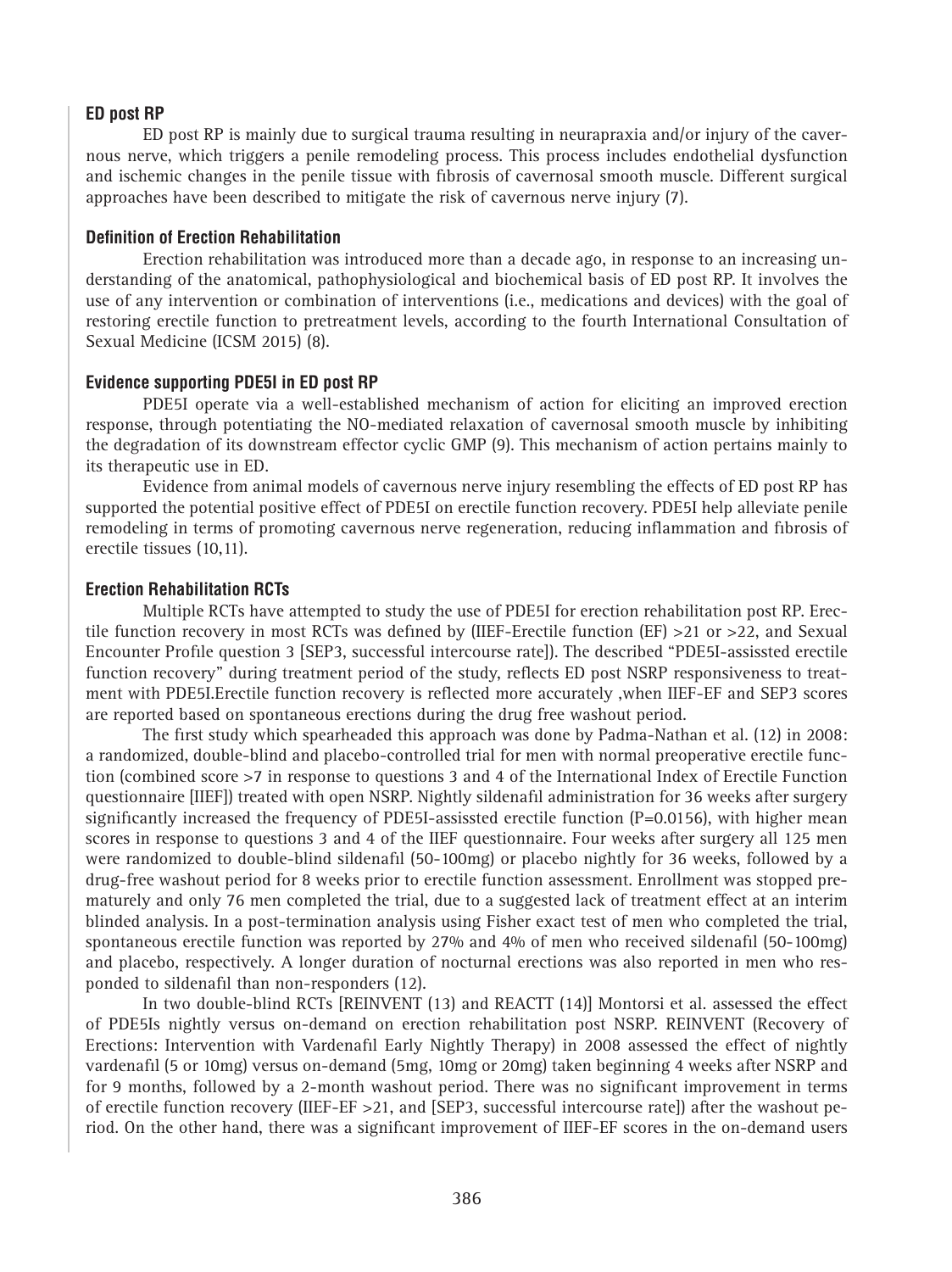#### **ED post RP**

ED post RP is mainly due to surgical trauma resulting in neurapraxia and/or injury of the cavernous nerve, which triggers a penile remodeling process. This process includes endothelial dysfunction and ischemic changes in the penile tissue with fibrosis of cavernosal smooth muscle. Different surgical approaches have been described to mitigate the risk of cavernous nerve injury (7).

#### **Definition of Erection Rehabilitation**

Erection rehabilitation was introduced more than a decade ago, in response to an increasing understanding of the anatomical, pathophysiological and biochemical basis of ED post RP. It involves the use of any intervention or combination of interventions (i.e., medications and devices) with the goal of restoring erectile function to pretreatment levels, according to the fourth International Consultation of Sexual Medicine (ICSM 2015) (8).

#### **Evidence supporting PDE5I in ED post RP**

PDE5I operate via a well-established mechanism of action for eliciting an improved erection response, through potentiating the NO-mediated relaxation of cavernosal smooth muscle by inhibiting the degradation of its downstream effector cyclic GMP (9). This mechanism of action pertains mainly to its therapeutic use in ED.

Evidence from animal models of cavernous nerve injury resembling the effects of ED post RP has supported the potential positive effect of PDE5I on erectile function recovery. PDE5I help alleviate penile remodeling in terms of promoting cavernous nerve regeneration, reducing inflammation and fibrosis of erectile tissues (10,11).

### **Erection Rehabilitation RCTs**

Multiple RCTs have attempted to study the use of PDE5I for erection rehabilitation post RP. Erectile function recovery in most RCTs was defined by (IIEF-Erectile function (EF) >21 or >22, and Sexual Encounter Profile question 3 [SEP3, successful intercourse rate]). The described "PDE5I-assissted erectile function recovery" during treatment period of the study, reflects ED post NSRP responsiveness to treatment with PDE5I.Erectile function recovery is reflected more accurately ,when IIEF-EF and SEP3 scores are reported based on spontaneous erections during the drug free washout period.

The first study which spearheaded this approach was done by Padma-Nathan et al. (12) in 2008: a randomized, double-blind and placebo-controlled trial for men with normal preoperative erectile function (combined score >7 in response to questions 3 and 4 of the International Index of Erectile Function questionnaire [IIEF]) treated with open NSRP. Nightly sildenafil administration for 36 weeks after surgery significantly increased the frequency of PDE5I-assissted erectile function  $(P=0.0156)$ , with higher mean scores in response to questions 3 and 4 of the IIEF questionnaire. Four weeks after surgery all 125 men were randomized to double-blind sildenafil (50-100mg) or placebo nightly for 36 weeks, followed by a drug-free washout period for 8 weeks prior to erectile function assessment. Enrollment was stopped prematurely and only 76 men completed the trial, due to a suggested lack of treatment effect at an interim blinded analysis. In a post-termination analysis using Fisher exact test of men who completed the trial, spontaneous erectile function was reported by 27% and 4% of men who received sildenafil (50-100mg) and placebo, respectively. A longer duration of nocturnal erections was also reported in men who responded to sildenafil than non-responders (12).

In two double-blind RCTs [REINVENT (13) and REACTT (14)] Montorsi et al. assessed the effect of PDE5Is nightly versus on-demand on erection rehabilitation post NSRP. REINVENT (Recovery of Erections: Intervention with Vardenafil Early Nightly Therapy) in 2008 assessed the effect of nightly vardenafil (5 or 10mg) versus on-demand (5mg, 10mg or 20mg) taken beginning 4 weeks after NSRP and for 9 months, followed by a 2-month washout period. There was no significant improvement in terms of erectile function recovery (IIEF-EF >21, and [SEP3, successful intercourse rate]) after the washout period. On the other hand, there was a significant improvement of IIEF-EF scores in the on-demand users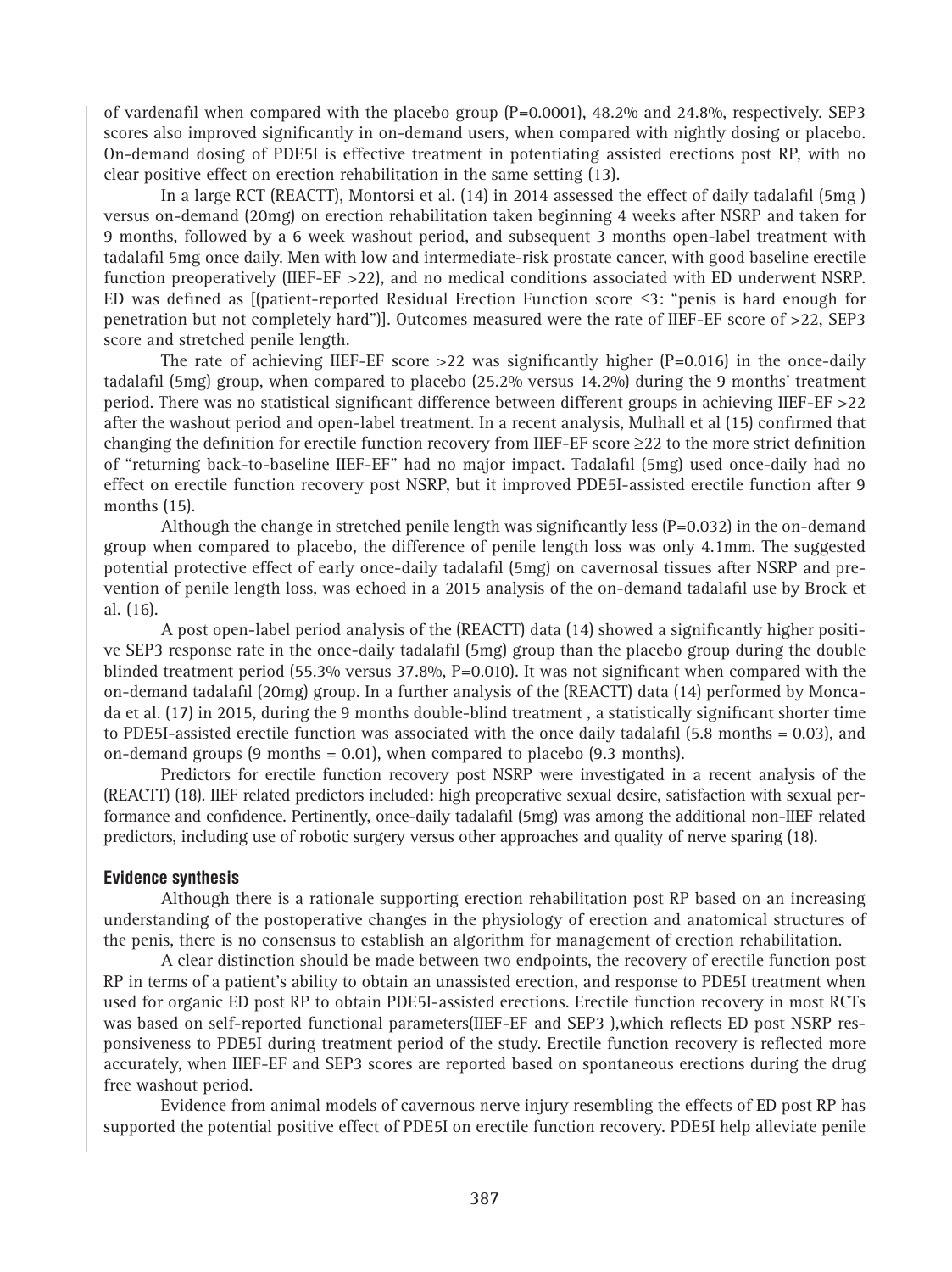of vardenafil when compared with the placebo group (P=0.0001), 48.2% and 24.8%, respectively. SEP3 scores also improved significantly in on-demand users, when compared with nightly dosing or placebo. On-demand dosing of PDE5I is effective treatment in potentiating assisted erections post RP, with no clear positive effect on erection rehabilitation in the same setting (13).

In a large RCT (REACTT), Montorsi et al. (14) in 2014 assessed the effect of daily tadalafil (5mg ) versus on-demand (20mg) on erection rehabilitation taken beginning 4 weeks after NSRP and taken for 9 months, followed by a 6 week washout period, and subsequent 3 months open-label treatment with tadalafil 5mg once daily. Men with low and intermediate-risk prostate cancer, with good baseline erectile function preoperatively (IIEF-EF >22), and no medical conditions associated with ED underwent NSRP. ED was defined as [(patient-reported Residual Erection Function score ≤3: "penis is hard enough for penetration but not completely hard")]. Outcomes measured were the rate of IIEF-EF score of >22, SEP3 score and stretched penile length.

The rate of achieving IIEF-EF score >22 was significantly higher (P=0.016) in the once-daily tadalafil (5mg) group, when compared to placebo (25.2% versus 14.2%) during the 9 months' treatment period. There was no statistical significant difference between different groups in achieving IIEF-EF >22 after the washout period and open-label treatment. In a recent analysis, Mulhall et al (15) confirmed that changing the definition for erectile function recovery from IIEF-EF score ≥22 to the more strict definition of "returning back-to-baseline IIEF-EF" had no major impact. Tadalafil (5mg) used once-daily had no effect on erectile function recovery post NSRP, but it improved PDE5I-assisted erectile function after 9 months (15).

Although the change in stretched penile length was significantly less (P=0.032) in the on-demand group when compared to placebo, the difference of penile length loss was only 4.1mm. The suggested potential protective effect of early once-daily tadalafil (5mg) on cavernosal tissues after NSRP and prevention of penile length loss, was echoed in a 2015 analysis of the on-demand tadalafil use by Brock et al. (16).

A post open-label period analysis of the (REACTT) data (14) showed a significantly higher positive SEP3 response rate in the once-daily tadalafil (5mg) group than the placebo group during the double blinded treatment period (55.3% versus 37.8%, P=0.010). It was not significant when compared with the on-demand tadalafil (20mg) group. In a further analysis of the (REACTT) data (14) performed by Moncada et al. (17) in 2015, during the 9 months double-blind treatment , a statistically significant shorter time to PDE5I-assisted erectile function was associated with the once daily tadalafil (5.8 months = 0.03), and on-demand groups (9 months = 0.01), when compared to placebo (9.3 months).

Predictors for erectile function recovery post NSRP were investigated in a recent analysis of the (REACTT) (18). IIEF related predictors included: high preoperative sexual desire, satisfaction with sexual performance and confidence. Pertinently, once-daily tadalafil (5mg) was among the additional non-IIEF related predictors, including use of robotic surgery versus other approaches and quality of nerve sparing (18).

#### **Evidence synthesis**

Although there is a rationale supporting erection rehabilitation post RP based on an increasing understanding of the postoperative changes in the physiology of erection and anatomical structures of the penis, there is no consensus to establish an algorithm for management of erection rehabilitation.

A clear distinction should be made between two endpoints, the recovery of erectile function post RP in terms of a patient's ability to obtain an unassisted erection, and response to PDE5I treatment when used for organic ED post RP to obtain PDE5I-assisted erections. Erectile function recovery in most RCTs was based on self-reported functional parameters(IIEF-EF and SEP3 ),which reflects ED post NSRP responsiveness to PDE5I during treatment period of the study. Erectile function recovery is reflected more accurately, when IIEF-EF and SEP3 scores are reported based on spontaneous erections during the drug free washout period.

Evidence from animal models of cavernous nerve injury resembling the effects of ED post RP has supported the potential positive effect of PDE5I on erectile function recovery. PDE5I help alleviate penile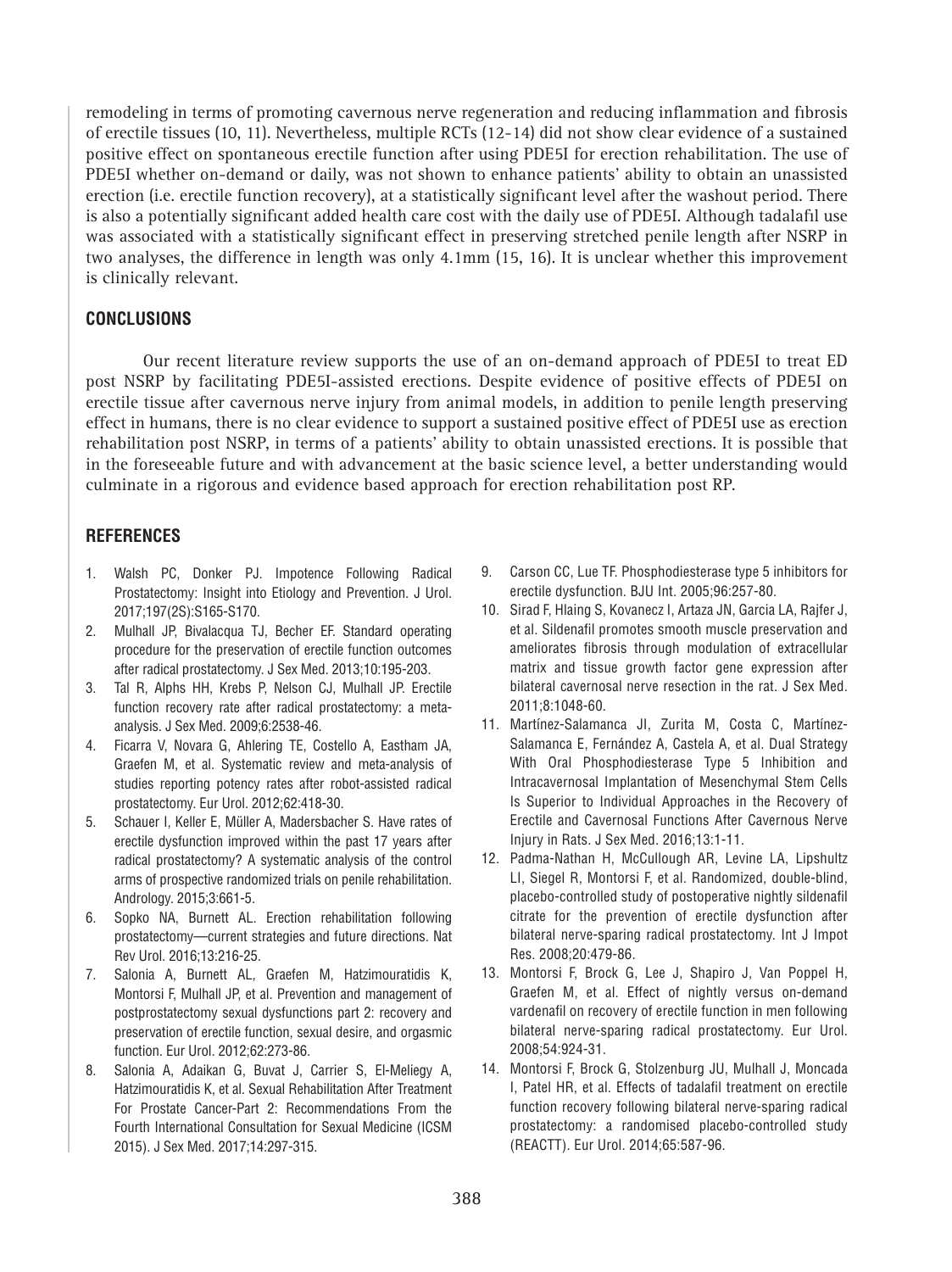remodeling in terms of promoting cavernous nerve regeneration and reducing inflammation and fibrosis of erectile tissues (10, 11). Nevertheless, multiple RCTs (12-14) did not show clear evidence of a sustained positive effect on spontaneous erectile function after using PDE5I for erection rehabilitation. The use of PDE5I whether on-demand or daily, was not shown to enhance patients' ability to obtain an unassisted erection (i.e. erectile function recovery), at a statistically significant level after the washout period. There is also a potentially significant added health care cost with the daily use of PDE5I. Although tadalafil use was associated with a statistically significant effect in preserving stretched penile length after NSRP in two analyses, the difference in length was only 4.1mm (15, 16). It is unclear whether this improvement is clinically relevant.

## **CONCLUSIONS**

Our recent literature review supports the use of an on-demand approach of PDE5I to treat ED post NSRP by facilitating PDE5I-assisted erections. Despite evidence of positive effects of PDE5I on erectile tissue after cavernous nerve injury from animal models, in addition to penile length preserving effect in humans, there is no clear evidence to support a sustained positive effect of PDE5I use as erection rehabilitation post NSRP, in terms of a patients' ability to obtain unassisted erections. It is possible that in the foreseeable future and with advancement at the basic science level, a better understanding would culminate in a rigorous and evidence based approach for erection rehabilitation post RP.

# **REFERENCES**

- 1. Walsh PC, Donker PJ. Impotence Following Radical Prostatectomy: Insight into Etiology and Prevention. J Urol. 2017;197(2S):S165-S170.
- 2. Mulhall JP, Bivalacqua TJ, Becher EF. Standard operating procedure for the preservation of erectile function outcomes after radical prostatectomy. J Sex Med. 2013;10:195-203.
- 3. Tal R, Alphs HH, Krebs P, Nelson CJ, Mulhall JP. Erectile function recovery rate after radical prostatectomy: a metaanalysis. J Sex Med. 2009;6:2538-46.
- 4. Ficarra V, Novara G, Ahlering TE, Costello A, Eastham JA, Graefen M, et al. Systematic review and meta-analysis of studies reporting potency rates after robot-assisted radical prostatectomy. Eur Urol. 2012;62:418-30.
- 5. Schauer I, Keller E, Müller A, Madersbacher S. Have rates of erectile dysfunction improved within the past 17 years after radical prostatectomy? A systematic analysis of the control arms of prospective randomized trials on penile rehabilitation. Andrology. 2015;3:661-5.
- 6. Sopko NA, Burnett AL. Erection rehabilitation following prostatectomy—current strategies and future directions. Nat Rev Urol. 2016;13:216-25.
- 7. Salonia A, Burnett AL, Graefen M, Hatzimouratidis K, Montorsi F, Mulhall JP, et al. Prevention and management of postprostatectomy sexual dysfunctions part 2: recovery and preservation of erectile function, sexual desire, and orgasmic function. Eur Urol. 2012;62:273-86.
- 8. Salonia A, Adaikan G, Buvat J, Carrier S, El-Meliegy A, Hatzimouratidis K, et al. Sexual Rehabilitation After Treatment For Prostate Cancer-Part 2: Recommendations From the Fourth International Consultation for Sexual Medicine (ICSM 2015). J Sex Med. 2017;14:297-315.
- 9. Carson CC, Lue TF. Phosphodiesterase type 5 inhibitors for erectile dysfunction. BJU Int. 2005;96:257-80.
- 10. Sirad F, Hlaing S, Kovanecz I, Artaza JN, Garcia LA, Rajfer J, et al. Sildenafil promotes smooth muscle preservation and ameliorates fibrosis through modulation of extracellular matrix and tissue growth factor gene expression after bilateral cavernosal nerve resection in the rat. J Sex Med. 2011;8:1048-60.
- 11. Martínez-Salamanca JI, Zurita M, Costa C, Martínez-Salamanca E, Fernández A, Castela A, et al. Dual Strategy With Oral Phosphodiesterase Type 5 Inhibition and Intracavernosal Implantation of Mesenchymal Stem Cells Is Superior to Individual Approaches in the Recovery of Erectile and Cavernosal Functions After Cavernous Nerve Injury in Rats. J Sex Med. 2016;13:1-11.
- 12. Padma-Nathan H, McCullough AR, Levine LA, Lipshultz LI, Siegel R, Montorsi F, et al. Randomized, double-blind, placebo-controlled study of postoperative nightly sildenafil citrate for the prevention of erectile dysfunction after bilateral nerve-sparing radical prostatectomy. Int J Impot Res. 2008;20:479-86.
- 13. Montorsi F, Brock G, Lee J, Shapiro J, Van Poppel H, Graefen M, et al. Effect of nightly versus on-demand vardenafil on recovery of erectile function in men following bilateral nerve-sparing radical prostatectomy. Eur Urol. 2008;54:924-31.
- 14. Montorsi F, Brock G, Stolzenburg JU, Mulhall J, Moncada I, Patel HR, et al. Effects of tadalafil treatment on erectile function recovery following bilateral nerve-sparing radical prostatectomy: a randomised placebo-controlled study (REACTT). Eur Urol. 2014;65:587-96.